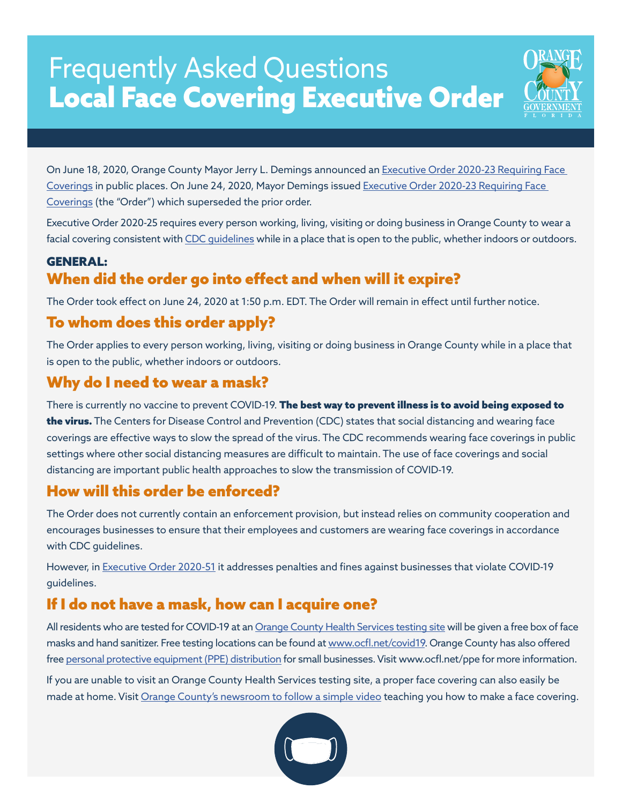# Frequently Asked Questions Local Face Covering Executive Order



On June 18, 2020, Orange County Mayor Jerry L. Demings announced an [Executive Order 2020-23 Requiring Face](https://www.orangecountyfl.net/portals/0/library/Emergency-Safety/docs/coronavirus/2020-23%20EEO.pdf) [Coverings](https://www.orangecountyfl.net/portals/0/library/Emergency-Safety/docs/coronavirus/2020-23%20EEO.pdf) in public places. On June 24, 2020, Mayor Demings issued [Executive Order 2020-23 Requiring Face](https://www.orangecountyfl.net/portals/0/library/Emergency-Safety/docs/coronavirus/2020-23%20EEO.pdf) [Coverings](https://www.orangecountyfl.net/portals/0/library/Emergency-Safety/docs/coronavirus/2020-23%20EEO.pdf) (the "Order") which superseded the prior order.

Executive Order 2020-25 requires every person working, living, visiting or doing business in Orange County to wear a facial covering consistent with CDC quidelines while in a place that is open to the public, whether indoors or outdoors.

### GENERAL: When did the order go into effect and when will it expire?

The Order took effect on June 24, 2020 at 1:50 p.m. EDT. The Order will remain in effect until further notice.

# To whom does this order apply?

The Order applies to every person working, living, visiting or doing business in Orange County while in a place that is open to the public, whether indoors or outdoors.

# Why do I need to wear a mask?

There is currently no vaccine to prevent COVID-19. The best way to prevent illness is to avoid being exposed to the virus. The Centers for Disease Control and Prevention (CDC) states that social distancing and wearing face coverings are effective ways to slow the spread of the virus. The CDC recommends wearing face coverings in public settings where other social distancing measures are difficult to maintain. The use of face coverings and social distancing are important public health approaches to slow the transmission of COVID-19.

## How will this order be enforced?

The Order does not currently contain an enforcement provision, but instead relies on community cooperation and encourages businesses to ensure that their employees and customers are wearing face coverings in accordance with CDC guidelines.

However, in [Executive Order 2020-51](https://www.ocfl.net/EmergencySafety/Coronavirus/ExecutiveOrders.aspx) it addresses penalties and fines against businesses that violate COVID-19 guidelines.

# If I do not have a mask, how can I acquire one?

All residents who are tested for COVID-19 at an [Orange County Health Services testing site](https://www.ocfl.net/EmergencySafety/Coronavirus.aspx) will be given a free box of face masks and hand sanitizer. Free testing locations can be found at [www.ocfl.net/covid19.](https://www.ocfl.net/EmergencySafety/Coronavirus.aspx) Orange County has also offered free [personal protective equipment \(PPE\) distribution](https://www.ocfl.net/EconomicDevelopment/EconomicRecoveryTaskForce/PPEforCommunity.aspx) for small businesses. Visit www.ocfl.net/ppe for more information.

If you are unable to visit an Orange County Health Services testing site, a proper face covering can also easily be made at home. Visit [Orange County's newsroom to follow a simple video](https://newsroom.ocfl.net/2020/06/diy-make-your-own-facemask-out-of-household-items/) teaching you how to make a face covering.

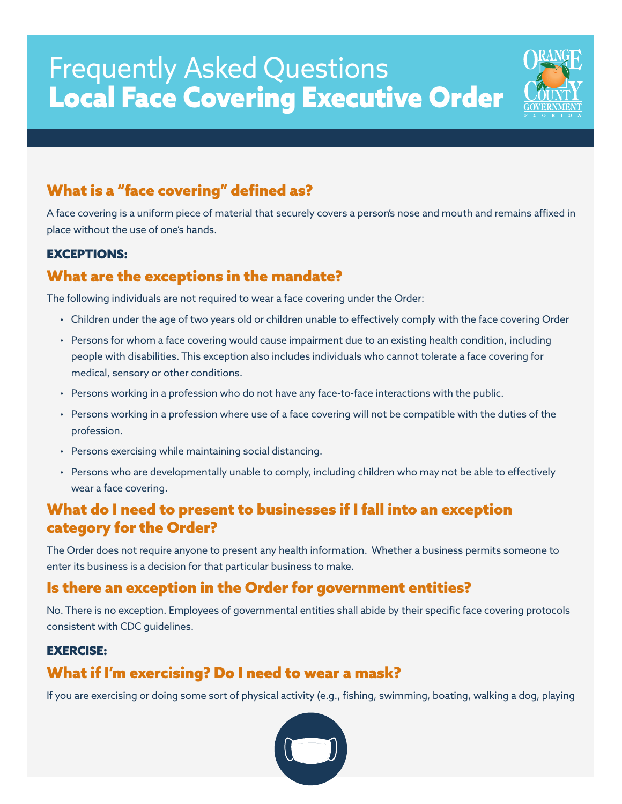# Frequently Asked Questions Local Face Covering Executive Order



# What is a "face covering" defined as?

A face covering is a uniform piece of material that securely covers a person's nose and mouth and remains affixed in place without the use of one's hands.

#### EXCEPTIONS:

## What are the exceptions in the mandate?

The following individuals are not required to wear a face covering under the Order:

- Children under the age of two years old or children unable to effectively comply with the face covering Order
- Persons for whom a face covering would cause impairment due to an existing health condition, including people with disabilities. This exception also includes individuals who cannot tolerate a face covering for medical, sensory or other conditions.
- Persons working in a profession who do not have any face-to-face interactions with the public.
- Persons working in a profession where use of a face covering will not be compatible with the duties of the profession.
- Persons exercising while maintaining social distancing.
- Persons who are developmentally unable to comply, including children who may not be able to effectively wear a face covering.

### What do I need to present to businesses if I fall into an exception category for the Order?

The Order does not require anyone to present any health information. Whether a business permits someone to enter its business is a decision for that particular business to make.

### Is there an exception in the Order for government entities?

No. There is no exception. Employees of governmental entities shall abide by their specific face covering protocols consistent with CDC guidelines.

#### EXERCISE:

## What if I'm exercising? Do I need to wear a mask?

If you are exercising or doing some sort of physical activity (e.g., fishing, swimming, boating, walking a dog, playing